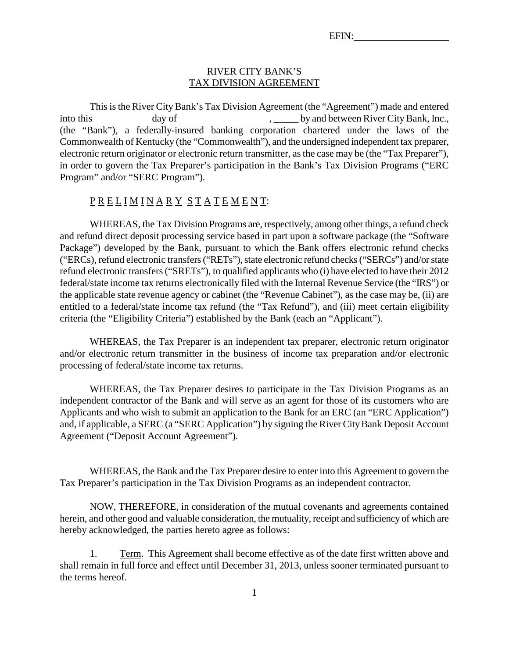#### RIVER CITY BANK'S TAX DIVISION AGREEMENT

This is the River City Bank's Tax Division Agreement (the "Agreement") made and entered into this day of , \_\_\_\_\_ by and between River City Bank, Inc., (the "Bank"), a federally-insured banking corporation chartered under the laws of the Commonwealth of Kentucky (the "Commonwealth"), and the undersigned independent tax preparer, electronic return originator or electronic return transmitter, as the case may be (the "Tax Preparer"), in order to govern the Tax Preparer's participation in the Bank's Tax Division Programs ("ERC Program" and/or "SERC Program").

### P R E L I M I N A R Y S T A T E M E N T:

WHEREAS, the Tax Division Programs are, respectively, among other things, a refund check and refund direct deposit processing service based in part upon a software package (the "Software Package") developed by the Bank, pursuant to which the Bank offers electronic refund checks ("ERCs), refund electronic transfers ("RETs"), state electronic refund checks ("SERCs") and/or state refund electronic transfers ("SRETs"), to qualified applicants who (i) have elected to have their 2012 federal/state income tax returns electronically filed with the Internal Revenue Service (the "IRS") or the applicable state revenue agency or cabinet (the "Revenue Cabinet"), as the case may be, (ii) are entitled to a federal/state income tax refund (the "Tax Refund"), and (iii) meet certain eligibility criteria (the "Eligibility Criteria") established by the Bank (each an "Applicant").

WHEREAS, the Tax Preparer is an independent tax preparer, electronic return originator and/or electronic return transmitter in the business of income tax preparation and/or electronic processing of federal/state income tax returns.

WHEREAS, the Tax Preparer desires to participate in the Tax Division Programs as an independent contractor of the Bank and will serve as an agent for those of its customers who are Applicants and who wish to submit an application to the Bank for an ERC (an "ERC Application") and, if applicable, a SERC (a "SERC Application") by signing the River City Bank Deposit Account Agreement ("Deposit Account Agreement").

WHEREAS, the Bank and the Tax Preparer desire to enter into this Agreement to govern the Tax Preparer's participation in the Tax Division Programs as an independent contractor.

NOW, THEREFORE, in consideration of the mutual covenants and agreements contained herein, and other good and valuable consideration, the mutuality, receipt and sufficiency of which are hereby acknowledged, the parties hereto agree as follows:

1. Term. This Agreement shall become effective as of the date first written above and shall remain in full force and effect until December 31, 2013, unless sooner terminated pursuant to the terms hereof.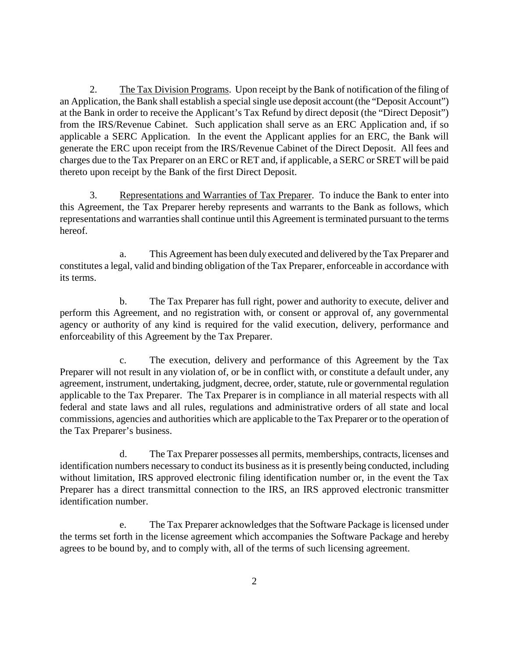2. The Tax Division Programs. Upon receipt by the Bank of notification of the filing of an Application, the Bank shall establish a special single use deposit account (the "Deposit Account") at the Bank in order to receive the Applicant's Tax Refund by direct deposit (the "Direct Deposit") from the IRS/Revenue Cabinet. Such application shall serve as an ERC Application and, if so applicable a SERC Application. In the event the Applicant applies for an ERC, the Bank will generate the ERC upon receipt from the IRS/Revenue Cabinet of the Direct Deposit. All fees and charges due to the Tax Preparer on an ERC or RET and, if applicable, a SERC or SRET will be paid thereto upon receipt by the Bank of the first Direct Deposit.

3. Representations and Warranties of Tax Preparer. To induce the Bank to enter into this Agreement, the Tax Preparer hereby represents and warrants to the Bank as follows, which representations and warranties shall continue until this Agreement is terminated pursuant to the terms hereof.

a. This Agreement has been duly executed and delivered by the Tax Preparer and constitutes a legal, valid and binding obligation of the Tax Preparer, enforceable in accordance with its terms.

b. The Tax Preparer has full right, power and authority to execute, deliver and perform this Agreement, and no registration with, or consent or approval of, any governmental agency or authority of any kind is required for the valid execution, delivery, performance and enforceability of this Agreement by the Tax Preparer.

c. The execution, delivery and performance of this Agreement by the Tax Preparer will not result in any violation of, or be in conflict with, or constitute a default under, any agreement, instrument, undertaking, judgment, decree, order, statute, rule or governmental regulation applicable to the Tax Preparer. The Tax Preparer is in compliance in all material respects with all federal and state laws and all rules, regulations and administrative orders of all state and local commissions, agencies and authorities which are applicable to the Tax Preparer or to the operation of the Tax Preparer's business.

d. The Tax Preparer possesses all permits, memberships, contracts, licenses and identification numbers necessary to conduct its business as it is presently being conducted, including without limitation, IRS approved electronic filing identification number or, in the event the Tax Preparer has a direct transmittal connection to the IRS, an IRS approved electronic transmitter identification number.

e. The Tax Preparer acknowledges that the Software Package is licensed under the terms set forth in the license agreement which accompanies the Software Package and hereby agrees to be bound by, and to comply with, all of the terms of such licensing agreement.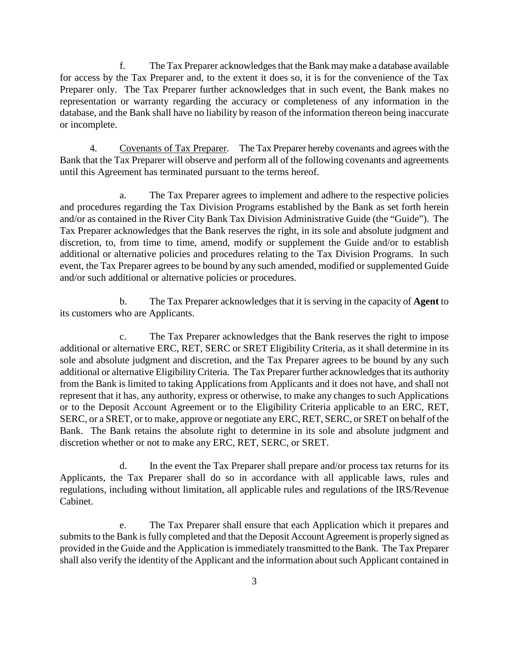f. The Tax Preparer acknowledges that the Bank may make a database available for access by the Tax Preparer and, to the extent it does so, it is for the convenience of the Tax Preparer only. The Tax Preparer further acknowledges that in such event, the Bank makes no representation or warranty regarding the accuracy or completeness of any information in the database, and the Bank shall have no liability by reason of the information thereon being inaccurate or incomplete.

4. Covenants of Tax Preparer. The Tax Preparer hereby covenants and agrees with the Bank that the Tax Preparer will observe and perform all of the following covenants and agreements until this Agreement has terminated pursuant to the terms hereof.

a. The Tax Preparer agrees to implement and adhere to the respective policies and procedures regarding the Tax Division Programs established by the Bank as set forth herein and/or as contained in the River City Bank Tax Division Administrative Guide (the "Guide"). The Tax Preparer acknowledges that the Bank reserves the right, in its sole and absolute judgment and discretion, to, from time to time, amend, modify or supplement the Guide and/or to establish additional or alternative policies and procedures relating to the Tax Division Programs. In such event, the Tax Preparer agrees to be bound by any such amended, modified or supplemented Guide and/or such additional or alternative policies or procedures.

b. The Tax Preparer acknowledges that it is serving in the capacity of **Agent** to its customers who are Applicants.

c. The Tax Preparer acknowledges that the Bank reserves the right to impose additional or alternative ERC, RET, SERC or SRET Eligibility Criteria, as it shall determine in its sole and absolute judgment and discretion, and the Tax Preparer agrees to be bound by any such additional or alternative Eligibility Criteria. The Tax Preparer further acknowledges that its authority from the Bank is limited to taking Applications from Applicants and it does not have, and shall not represent that it has, any authority, express or otherwise, to make any changes to such Applications or to the Deposit Account Agreement or to the Eligibility Criteria applicable to an ERC, RET, SERC, or a SRET, or to make, approve or negotiate any ERC, RET, SERC, or SRET on behalf of the Bank. The Bank retains the absolute right to determine in its sole and absolute judgment and discretion whether or not to make any ERC, RET, SERC, or SRET.

d. In the event the Tax Preparer shall prepare and/or process tax returns for its Applicants, the Tax Preparer shall do so in accordance with all applicable laws, rules and regulations, including without limitation, all applicable rules and regulations of the IRS/Revenue Cabinet.

e. The Tax Preparer shall ensure that each Application which it prepares and submits to the Bank is fully completed and that the Deposit Account Agreement is properly signed as provided in the Guide and the Application is immediately transmitted to the Bank. The Tax Preparer shall also verify the identity of the Applicant and the information about such Applicant contained in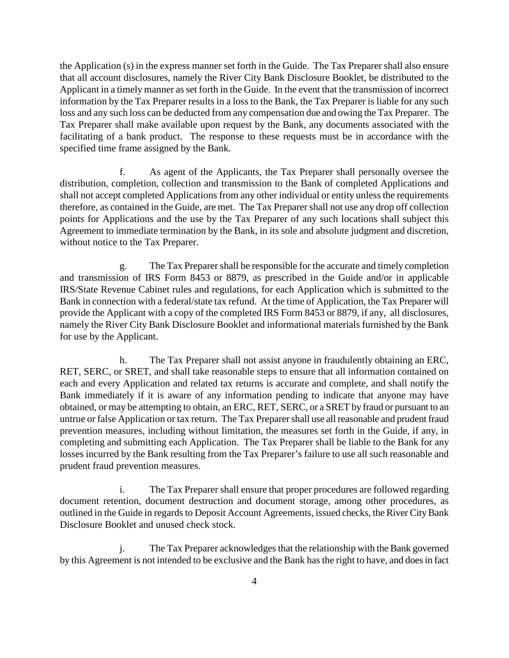the Application (s) in the express manner set forth in the Guide. The Tax Preparer shall also ensure that all account disclosures, namely the River City Bank Disclosure Booklet, be distributed to the Applicant in a timely manner as set forth in the Guide. In the event that the transmission of incorrect information by the Tax Preparer results in a loss to the Bank, the Tax Preparer is liable for any such loss and any such loss can be deducted from any compensation due and owing the Tax Preparer. The Tax Preparer shall make available upon request by the Bank, any documents associated with the facilitating of a bank product. The response to these requests must be in accordance with the specified time frame assigned by the Bank.

f. As agent of the Applicants, the Tax Preparer shall personally oversee the distribution, completion, collection and transmission to the Bank of completed Applications and shall not accept completed Applications from any other individual or entity unless the requirements therefore, as contained in the Guide, are met. The Tax Preparer shall not use any drop off collection points for Applications and the use by the Tax Preparer of any such locations shall subject this Agreement to immediate termination by the Bank, in its sole and absolute judgment and discretion, without notice to the Tax Preparer.

g. The Tax Preparer shall be responsible for the accurate and timely completion and transmission of IRS Form 8453 or 8879, as prescribed in the Guide and/or in applicable IRS/State Revenue Cabinet rules and regulations, for each Application which is submitted to the Bank in connection with a federal/state tax refund. At the time of Application, the Tax Preparer will provide the Applicant with a copy of the completed IRS Form 8453 or 8879, if any, all disclosures, namely the River City Bank Disclosure Booklet and informational materials furnished by the Bank for use by the Applicant.

h. The Tax Preparer shall not assist anyone in fraudulently obtaining an ERC, RET, SERC, or SRET, and shall take reasonable steps to ensure that all information contained on each and every Application and related tax returns is accurate and complete, and shall notify the Bank immediately if it is aware of any information pending to indicate that anyone may have obtained, or may be attempting to obtain, an ERC, RET, SERC, or a SRET by fraud or pursuant to an untrue or false Application or tax return. The Tax Preparer shall use all reasonable and prudent fraud prevention measures, including without limitation, the measures set forth in the Guide, if any, in completing and submitting each Application. The Tax Preparer shall be liable to the Bank for any losses incurred by the Bank resulting from the Tax Preparer's failure to use all such reasonable and prudent fraud prevention measures.

i. The Tax Preparer shall ensure that proper procedures are followed regarding document retention, document destruction and document storage, among other procedures, as outlined in the Guide in regards to Deposit Account Agreements, issued checks, the River City Bank Disclosure Booklet and unused check stock.

j. The Tax Preparer acknowledges that the relationship with the Bank governed by this Agreement is not intended to be exclusive and the Bank has the right to have, and does in fact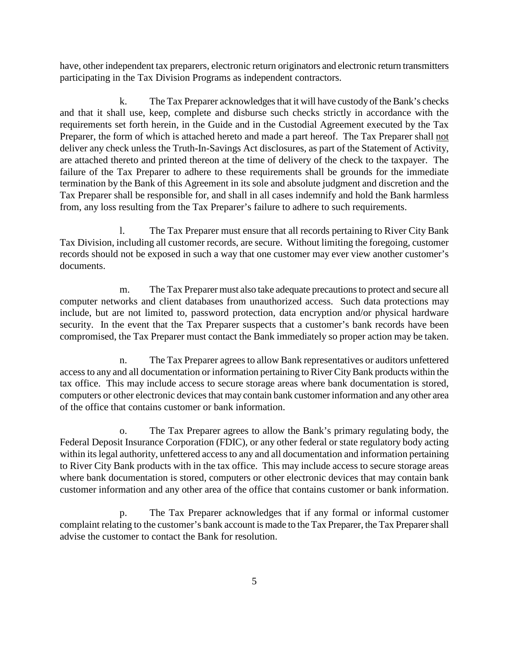have, other independent tax preparers, electronic return originators and electronic return transmitters participating in the Tax Division Programs as independent contractors.

k. The Tax Preparer acknowledges that it will have custody of the Bank's checks and that it shall use, keep, complete and disburse such checks strictly in accordance with the requirements set forth herein, in the Guide and in the Custodial Agreement executed by the Tax Preparer, the form of which is attached hereto and made a part hereof. The Tax Preparer shall not deliver any check unless the Truth-In-Savings Act disclosures, as part of the Statement of Activity, are attached thereto and printed thereon at the time of delivery of the check to the taxpayer. The failure of the Tax Preparer to adhere to these requirements shall be grounds for the immediate termination by the Bank of this Agreement in its sole and absolute judgment and discretion and the Tax Preparer shall be responsible for, and shall in all cases indemnify and hold the Bank harmless from, any loss resulting from the Tax Preparer's failure to adhere to such requirements.

l. The Tax Preparer must ensure that all records pertaining to River City Bank Tax Division, including all customer records, are secure. Without limiting the foregoing, customer records should not be exposed in such a way that one customer may ever view another customer's documents.

m. The Tax Preparer must also take adequate precautions to protect and secure all computer networks and client databases from unauthorized access. Such data protections may include, but are not limited to, password protection, data encryption and/or physical hardware security. In the event that the Tax Preparer suspects that a customer's bank records have been compromised, the Tax Preparer must contact the Bank immediately so proper action may be taken.

n. The Tax Preparer agrees to allow Bank representatives or auditors unfettered access to any and all documentation or information pertaining to River City Bank products within the tax office. This may include access to secure storage areas where bank documentation is stored, computers or other electronic devices that may contain bank customer information and any other area of the office that contains customer or bank information.

o. The Tax Preparer agrees to allow the Bank's primary regulating body, the Federal Deposit Insurance Corporation (FDIC), or any other federal or state regulatory body acting within its legal authority, unfettered access to any and all documentation and information pertaining to River City Bank products with in the tax office. This may include access to secure storage areas where bank documentation is stored, computers or other electronic devices that may contain bank customer information and any other area of the office that contains customer or bank information.

p. The Tax Preparer acknowledges that if any formal or informal customer complaint relating to the customer's bank account is made to the Tax Preparer, the Tax Preparer shall advise the customer to contact the Bank for resolution.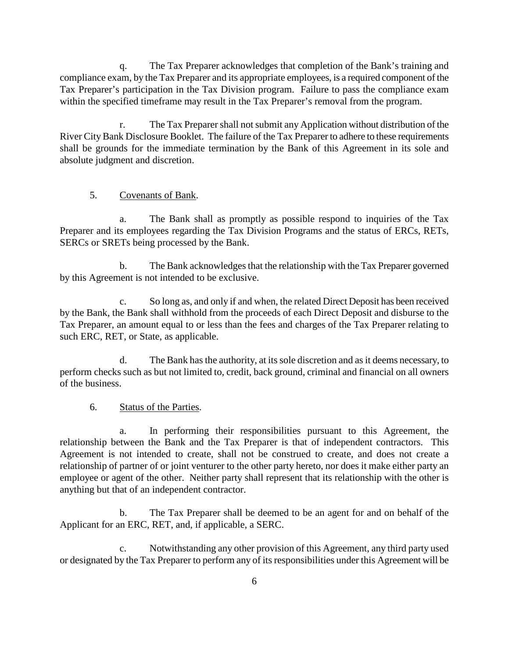q. The Tax Preparer acknowledges that completion of the Bank's training and compliance exam, by the Tax Preparer and its appropriate employees, is a required component of the Tax Preparer's participation in the Tax Division program. Failure to pass the compliance exam within the specified timeframe may result in the Tax Preparer's removal from the program.

r. The Tax Preparer shall not submit any Application without distribution of the River City Bank Disclosure Booklet. The failure of the Tax Preparer to adhere to these requirements shall be grounds for the immediate termination by the Bank of this Agreement in its sole and absolute judgment and discretion.

## 5. Covenants of Bank.

a. The Bank shall as promptly as possible respond to inquiries of the Tax Preparer and its employees regarding the Tax Division Programs and the status of ERCs, RETs, SERCs or SRETs being processed by the Bank.

b. The Bank acknowledges that the relationship with the Tax Preparer governed by this Agreement is not intended to be exclusive.

c. So long as, and only if and when, the related Direct Deposit has been received by the Bank, the Bank shall withhold from the proceeds of each Direct Deposit and disburse to the Tax Preparer, an amount equal to or less than the fees and charges of the Tax Preparer relating to such ERC, RET, or State, as applicable.

d. The Bank has the authority, at its sole discretion and as it deems necessary, to perform checks such as but not limited to, credit, back ground, criminal and financial on all owners of the business.

### 6. Status of the Parties.

a. In performing their responsibilities pursuant to this Agreement, the relationship between the Bank and the Tax Preparer is that of independent contractors. This Agreement is not intended to create, shall not be construed to create, and does not create a relationship of partner of or joint venturer to the other party hereto, nor does it make either party an employee or agent of the other. Neither party shall represent that its relationship with the other is anything but that of an independent contractor.

b. The Tax Preparer shall be deemed to be an agent for and on behalf of the Applicant for an ERC, RET, and, if applicable, a SERC.

c. Notwithstanding any other provision of this Agreement, any third party used or designated by the Tax Preparer to perform any of its responsibilities under this Agreement will be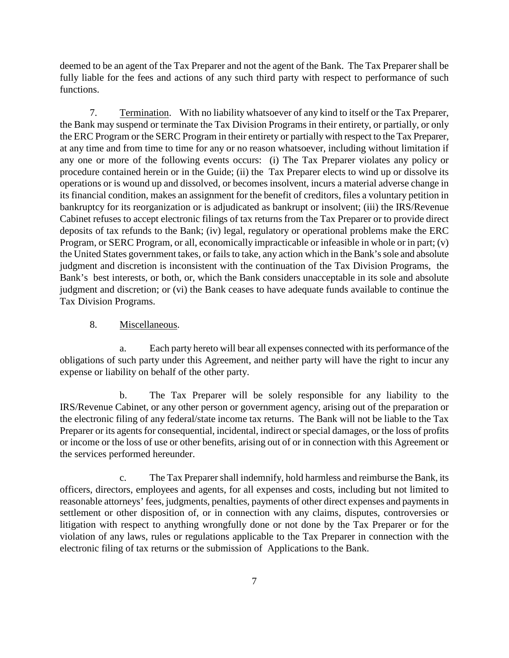deemed to be an agent of the Tax Preparer and not the agent of the Bank. The Tax Preparer shall be fully liable for the fees and actions of any such third party with respect to performance of such functions.

7. Termination. With no liability whatsoever of any kind to itself or the Tax Preparer, the Bank may suspend or terminate the Tax Division Programs in their entirety, or partially, or only the ERC Program or the SERC Program in their entirety or partially with respect to the Tax Preparer, at any time and from time to time for any or no reason whatsoever, including without limitation if any one or more of the following events occurs: (i) The Tax Preparer violates any policy or procedure contained herein or in the Guide; (ii) the Tax Preparer elects to wind up or dissolve its operations or is wound up and dissolved, or becomes insolvent, incurs a material adverse change in its financial condition, makes an assignment for the benefit of creditors, files a voluntary petition in bankruptcy for its reorganization or is adjudicated as bankrupt or insolvent; (iii) the IRS/Revenue Cabinet refuses to accept electronic filings of tax returns from the Tax Preparer or to provide direct deposits of tax refunds to the Bank; (iv) legal, regulatory or operational problems make the ERC Program, or SERC Program, or all, economically impracticable or infeasible in whole or in part; (v) the United States government takes, or fails to take, any action which in the Bank's sole and absolute judgment and discretion is inconsistent with the continuation of the Tax Division Programs, the Bank's best interests, or both, or, which the Bank considers unacceptable in its sole and absolute judgment and discretion; or (vi) the Bank ceases to have adequate funds available to continue the Tax Division Programs.

### 8. Miscellaneous.

a. Each party hereto will bear all expenses connected with its performance of the obligations of such party under this Agreement, and neither party will have the right to incur any expense or liability on behalf of the other party.

b. The Tax Preparer will be solely responsible for any liability to the IRS/Revenue Cabinet, or any other person or government agency, arising out of the preparation or the electronic filing of any federal/state income tax returns. The Bank will not be liable to the Tax Preparer or its agents for consequential, incidental, indirect or special damages, or the loss of profits or income or the loss of use or other benefits, arising out of or in connection with this Agreement or the services performed hereunder.

c. The Tax Preparer shall indemnify, hold harmless and reimburse the Bank, its officers, directors, employees and agents, for all expenses and costs, including but not limited to reasonable attorneys' fees, judgments, penalties, payments of other direct expenses and payments in settlement or other disposition of, or in connection with any claims, disputes, controversies or litigation with respect to anything wrongfully done or not done by the Tax Preparer or for the violation of any laws, rules or regulations applicable to the Tax Preparer in connection with the electronic filing of tax returns or the submission of Applications to the Bank.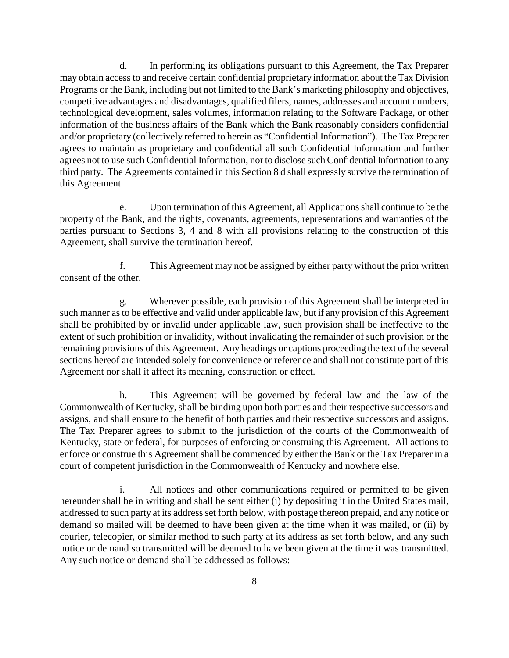d. In performing its obligations pursuant to this Agreement, the Tax Preparer may obtain access to and receive certain confidential proprietary information about the Tax Division Programs or the Bank, including but not limited to the Bank's marketing philosophy and objectives, competitive advantages and disadvantages, qualified filers, names, addresses and account numbers, technological development, sales volumes, information relating to the Software Package, or other information of the business affairs of the Bank which the Bank reasonably considers confidential and/or proprietary (collectively referred to herein as "Confidential Information"). The Tax Preparer agrees to maintain as proprietary and confidential all such Confidential Information and further agrees not to use such Confidential Information, nor to disclose such Confidential Information to any third party. The Agreements contained in this Section 8 d shall expressly survive the termination of this Agreement.

e. Upon termination of this Agreement, all Applications shall continue to be the property of the Bank, and the rights, covenants, agreements, representations and warranties of the parties pursuant to Sections 3, 4 and 8 with all provisions relating to the construction of this Agreement, shall survive the termination hereof.

f. This Agreement may not be assigned by either party without the prior written consent of the other.

g. Wherever possible, each provision of this Agreement shall be interpreted in such manner as to be effective and valid under applicable law, but if any provision of this Agreement shall be prohibited by or invalid under applicable law, such provision shall be ineffective to the extent of such prohibition or invalidity, without invalidating the remainder of such provision or the remaining provisions of this Agreement. Any headings or captions proceeding the text of the several sections hereof are intended solely for convenience or reference and shall not constitute part of this Agreement nor shall it affect its meaning, construction or effect.

h. This Agreement will be governed by federal law and the law of the Commonwealth of Kentucky, shall be binding upon both parties and their respective successors and assigns, and shall ensure to the benefit of both parties and their respective successors and assigns. The Tax Preparer agrees to submit to the jurisdiction of the courts of the Commonwealth of Kentucky, state or federal, for purposes of enforcing or construing this Agreement. All actions to enforce or construe this Agreement shall be commenced by either the Bank or the Tax Preparer in a court of competent jurisdiction in the Commonwealth of Kentucky and nowhere else.

i. All notices and other communications required or permitted to be given hereunder shall be in writing and shall be sent either (i) by depositing it in the United States mail, addressed to such party at its address set forth below, with postage thereon prepaid, and any notice or demand so mailed will be deemed to have been given at the time when it was mailed, or (ii) by courier, telecopier, or similar method to such party at its address as set forth below, and any such notice or demand so transmitted will be deemed to have been given at the time it was transmitted. Any such notice or demand shall be addressed as follows: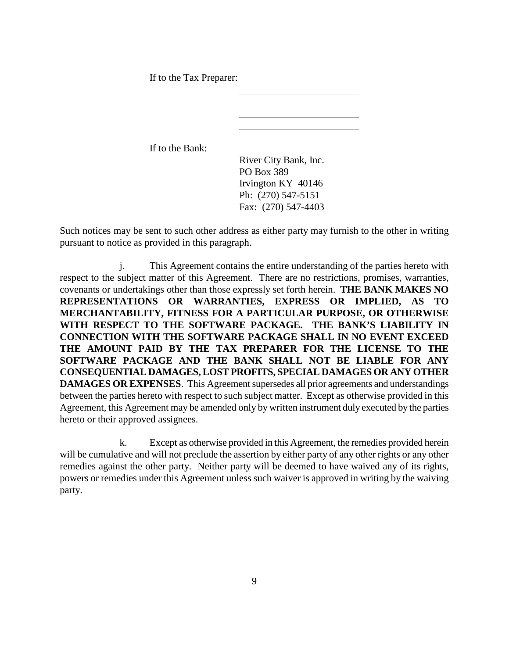If to the Tax Preparer:

If to the Bank:

River City Bank, Inc. PO Box 389 Irvington KY 40146 Ph: (270) 547-5151 Fax: (270) 547-4403

Such notices may be sent to such other address as either party may furnish to the other in writing pursuant to notice as provided in this paragraph.

j. This Agreement contains the entire understanding of the parties hereto with respect to the subject matter of this Agreement. There are no restrictions, promises, warranties, covenants or undertakings other than those expressly set forth herein. **THE BANK MAKES NO REPRESENTATIONS OR WARRANTIES, EXPRESS OR IMPLIED, AS TO MERCHANTABILITY, FITNESS FOR A PARTICULAR PURPOSE, OR OTHERWISE WITH RESPECT TO THE SOFTWARE PACKAGE. THE BANK'S LIABILITY IN CONNECTION WITH THE SOFTWARE PACKAGE SHALL IN NO EVENT EXCEED THE AMOUNT PAID BY THE TAX PREPARER FOR THE LICENSE TO THE SOFTWARE PACKAGE AND THE BANK SHALL NOT BE LIABLE FOR ANY CONSEQUENTIAL DAMAGES, LOST PROFITS, SPECIAL DAMAGES OR ANY OTHER DAMAGES OR EXPENSES**. This Agreement supersedes all prior agreements and understandings between the parties hereto with respect to such subject matter. Except as otherwise provided in this Agreement, this Agreement may be amended only by written instrument duly executed by the parties hereto or their approved assignees.

k. Except as otherwise provided in this Agreement, the remedies provided herein will be cumulative and will not preclude the assertion by either party of any other rights or any other remedies against the other party. Neither party will be deemed to have waived any of its rights, powers or remedies under this Agreement unless such waiver is approved in writing by the waiving party.